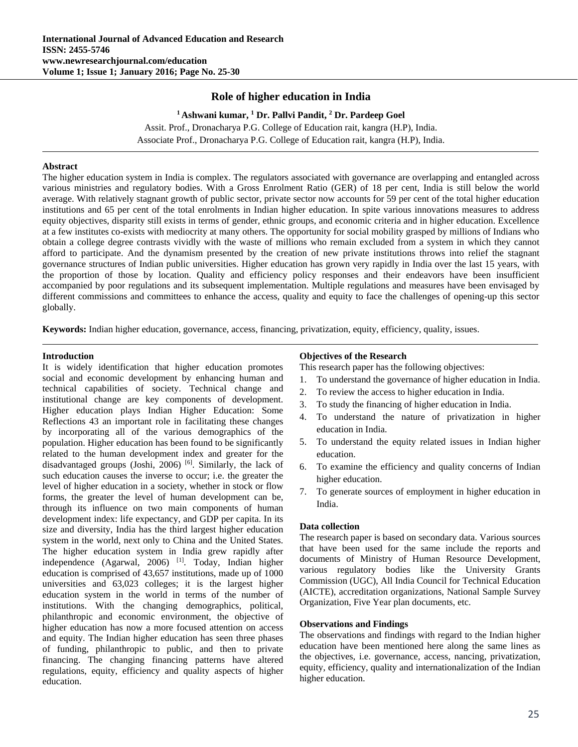# **Role of higher education in India**

<sup>1</sup> Ashwani kumar, <sup>1</sup> Dr. Pallvi Pandit, <sup>2</sup> Dr. Pardeep Goel Assit. Prof., Dronacharya P.G. College of Education rait, kangra (H.P), India. Associate Prof., Dronacharya P.G. College of Education rait, kangra (H.P), India.

### **Abstract**

The higher education system in India is complex. The regulators associated with governance are overlapping and entangled across various ministries and regulatory bodies. With a Gross Enrolment Ratio (GER) of 18 per cent, India is still below the world average. With relatively stagnant growth of public sector, private sector now accounts for 59 per cent of the total higher education institutions and 65 per cent of the total enrolments in Indian higher education. In spite various innovations measures to address equity objectives, disparity still exists in terms of gender, ethnic groups, and economic criteria and in higher education. Excellence at a few institutes co-exists with mediocrity at many others. The opportunity for social mobility grasped by millions of Indians who obtain a college degree contrasts vividly with the waste of millions who remain excluded from a system in which they cannot afford to participate. And the dynamism presented by the creation of new private institutions throws into relief the stagnant governance structures of Indian public universities. Higher education has grown very rapidly in India over the last 15 years, with the proportion of those by location. Quality and efficiency policy responses and their endeavors have been insufficient accompanied by poor regulations and its subsequent implementation. Multiple regulations and measures have been envisaged by different commissions and committees to enhance the access, quality and equity to face the challenges of opening-up this sector globally.

**Keywords:** Indian higher education, governance, access, financing, privatization, equity, efficiency, quality, issues.

### **Introduction**

It is widely identification that higher education promotes social and economic development by enhancing human and technical capabilities of society. Technical change and institutional change are key components of development. Higher education plays Indian Higher Education: Some Reflections 43 an important role in facilitating these changes by incorporating all of the various demographics of the population. Higher education has been found to be significantly related to the human development index and greater for the disadvantaged groups (Joshi, 2006)  $[6]$ . Similarly, the lack of such education causes the inverse to occur; i.e. the greater the level of higher education in a society, whether in stock or flow forms, the greater the level of human development can be, through its influence on two main components of human development index: life expectancy, and GDP per capita. In its size and diversity, India has the third largest higher education system in the world, next only to China and the United States. The higher education system in India grew rapidly after independence (Agarwal, 2006) <sup>[1]</sup>. Today, Indian higher education is comprised of 43,657 institutions, made up of 1000 universities and 63,023 colleges; it is the largest higher education system in the world in terms of the number of institutions. With the changing demographics, political, philanthropic and economic environment, the objective of higher education has now a more focused attention on access and equity. The Indian higher education has seen three phases of funding, philanthropic to public, and then to private financing. The changing financing patterns have altered regulations, equity, efficiency and quality aspects of higher education.

## **Objectives of the Research**

This research paper has the following objectives:

- 1. To understand the governance of higher education in India.
- 2. To review the access to higher education in India.
- 3. To study the financing of higher education in India.
- 4. To understand the nature of privatization in higher education in India.
- 5. To understand the equity related issues in Indian higher education.
- 6. To examine the efficiency and quality concerns of Indian higher education.
- 7. To generate sources of employment in higher education in India.

### **Data collection**

The research paper is based on secondary data. Various sources that have been used for the same include the reports and documents of Ministry of Human Resource Development, various regulatory bodies like the University Grants Commission (UGC), All India Council for Technical Education (AICTE), accreditation organizations, National Sample Survey Organization, Five Year plan documents, etc.

### **Observations and Findings**

The observations and findings with regard to the Indian higher education have been mentioned here along the same lines as the objectives, i.e. governance, access, nancing, privatization, equity, efficiency, quality and internationalization of the Indian higher education.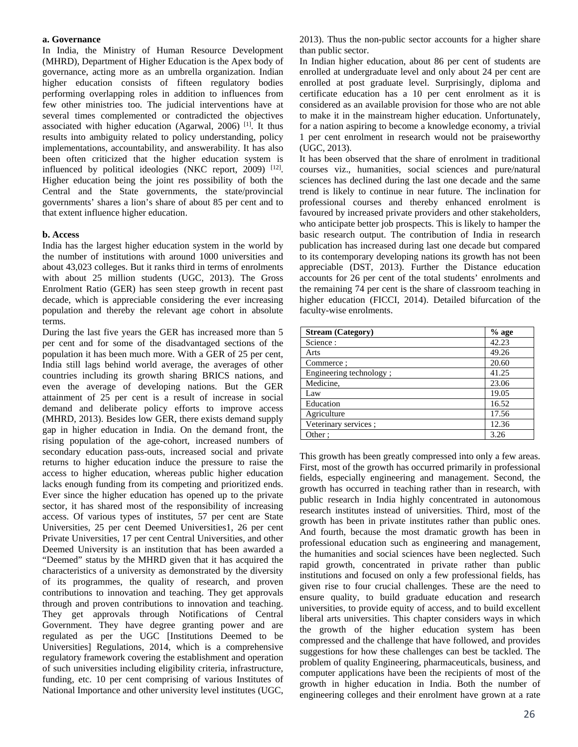#### **a. Governance**

In India, the Ministry of Human Resource Development (MHRD), Department of Higher Education is the Apex body of governance, acting more as an umbrella organization. Indian higher education consists of fifteen regulatory bodies performing overlapping roles in addition to influences from few other ministries too. The judicial interventions have at several times complemented or contradicted the objectives associated with higher education (Agarwal, 2006)  $[1]$ . It thus results into ambiguity related to policy understanding, policy implementations, accountability, and answerability. It has also been often criticized that the higher education system is influenced by political ideologies (NKC report,  $2009$ )  $[12]$ . Higher education being the joint res possibility of both the Central and the State governments, the state/provincial governments' shares a lion's share of about 85 per cent and to that extent influence higher education.

### **b. Access**

India has the largest higher education system in the world by the number of institutions with around 1000 universities and about 43,023 colleges. But it ranks third in terms of enrolments with about 25 million students (UGC, 2013). The Gross Enrolment Ratio (GER) has seen steep growth in recent past decade, which is appreciable considering the ever increasing population and thereby the relevant age cohort in absolute terms.

During the last five years the GER has increased more than 5 per cent and for some of the disadvantaged sections of the population it has been much more. With a GER of 25 per cent, India still lags behind world average, the averages of other countries including its growth sharing BRICS nations, and even the average of developing nations. But the GER attainment of 25 per cent is a result of increase in social demand and deliberate policy efforts to improve access (MHRD, 2013). Besides low GER, there exists demand supply gap in higher education in India. On the demand front, the rising population of the age-cohort, increased numbers of secondary education pass-outs, increased social and private returns to higher education induce the pressure to raise the access to higher education, whereas public higher education lacks enough funding from its competing and prioritized ends. Ever since the higher education has opened up to the private sector, it has shared most of the responsibility of increasing access. Of various types of institutes, 57 per cent are State Universities, 25 per cent Deemed Universities1, 26 per cent Private Universities, 17 per cent Central Universities, and other Deemed University is an institution that has been awarded a "Deemed" status by the MHRD given that it has acquired the characteristics of a university as demonstrated by the diversity of its programmes, the quality of research, and proven contributions to innovation and teaching. They get approvals through and proven contributions to innovation and teaching. They get approvals through Notifications of Central Government. They have degree granting power and are regulated as per the UGC [Institutions Deemed to be Universities] Regulations, 2014, which is a comprehensive regulatory framework covering the establishment and operation of such universities including eligibility criteria, infrastructure, funding, etc. 10 per cent comprising of various Institutes of National Importance and other university level institutes (UGC, 2013). Thus the non-public sector accounts for a higher share than public sector.

In Indian higher education, about 86 per cent of students are enrolled at undergraduate level and only about 24 per cent are enrolled at post graduate level. Surprisingly, diploma and certificate education has a 10 per cent enrolment as it is considered as an available provision for those who are not able to make it in the mainstream higher education. Unfortunately, for a nation aspiring to become a knowledge economy, a trivial 1 per cent enrolment in research would not be praiseworthy (UGC, 2013).

It has been observed that the share of enrolment in traditional courses viz., humanities, social sciences and pure/natural sciences has declined during the last one decade and the same trend is likely to continue in near future. The inclination for professional courses and thereby enhanced enrolment is favoured by increased private providers and other stakeholders, who anticipate better job prospects. This is likely to hamper the basic research output. The contribution of India in research publication has increased during last one decade but compared to its contemporary developing nations its growth has not been appreciable (DST, 2013). Further the Distance education accounts for 26 per cent of the total students' enrolments and the remaining 74 per cent is the share of classroom teaching in higher education (FICCI, 2014). Detailed bifurcation of the faculty-wise enrolments.

| <b>Stream</b> (Category) | $%$ age |
|--------------------------|---------|
| Science:                 | 42.23   |
| Arts                     | 49.26   |
| Commerce:                | 20.60   |
| Engineering technology;  | 41.25   |
| Medicine,                | 23.06   |
| Law                      | 19.05   |
| Education                | 16.52   |
| Agriculture              | 17.56   |
| Veterinary services;     | 12.36   |
| Other:                   | 3.26    |

This growth has been greatly compressed into only a few areas. First, most of the growth has occurred primarily in professional fields, especially engineering and management. Second, the growth has occurred in teaching rather than in research, with public research in India highly concentrated in autonomous research institutes instead of universities. Third, most of the growth has been in private institutes rather than public ones. And fourth, because the most dramatic growth has been in professional education such as engineering and management, the humanities and social sciences have been neglected. Such rapid growth, concentrated in private rather than public institutions and focused on only a few professional fields, has given rise to four crucial challenges. These are the need to ensure quality, to build graduate education and research universities, to provide equity of access, and to build excellent liberal arts universities. This chapter considers ways in which the growth of the higher education system has been compressed and the challenge that have followed, and provides suggestions for how these challenges can best be tackled. The problem of quality Engineering, pharmaceuticals, business, and computer applications have been the recipients of most of the growth in higher education in India. Both the number of engineering colleges and their enrolment have grown at a rate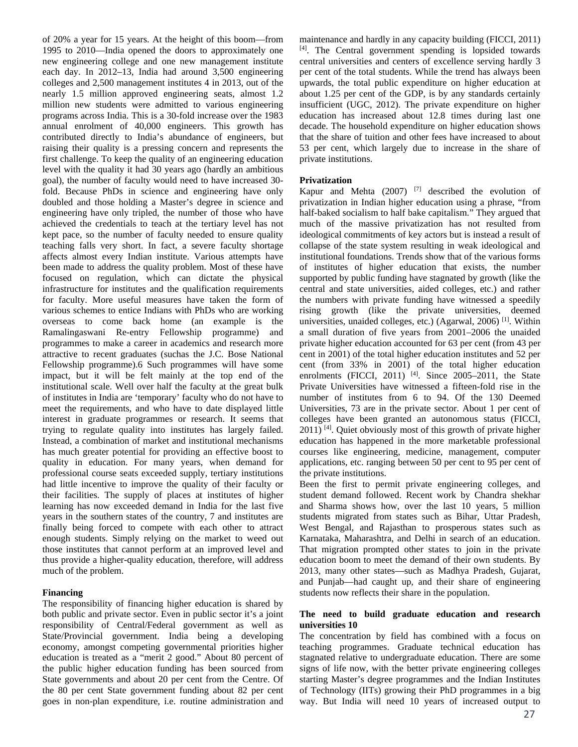of 20% a year for 15 years. At the height of this boom—from 1995 to 2010—India opened the doors to approximately one new engineering college and one new management institute each day. In 2012–13, India had around 3,500 engineering colleges and 2,500 management institutes 4 in 2013, out of the nearly 1.5 million approved engineering seats, almost 1.2 million new students were admitted to various engineering programs across India. This is a 30-fold increase over the 1983 annual enrolment of 40,000 engineers. This growth has contributed directly to India's abundance of engineers, but raising their quality is a pressing concern and represents the first challenge. To keep the quality of an engineering education level with the quality it had 30 years ago (hardly an ambitious goal), the number of faculty would need to have increased 30 fold. Because PhDs in science and engineering have only doubled and those holding a Master's degree in science and engineering have only tripled, the number of those who have achieved the credentials to teach at the tertiary level has not kept pace, so the number of faculty needed to ensure quality teaching falls very short. In fact, a severe faculty shortage affects almost every Indian institute. Various attempts have been made to address the quality problem. Most of these have focused on regulation, which can dictate the physical infrastructure for institutes and the qualification requirements for faculty. More useful measures have taken the form of various schemes to entice Indians with PhDs who are working overseas to come back home (an example is the Ramalingaswani Re-entry Fellowship programme) and programmes to make a career in academics and research more attractive to recent graduates (suchas the J.C. Bose National Fellowship programme).6 Such programmes will have some impact, but it will be felt mainly at the top end of the institutional scale. Well over half the faculty at the great bulk of institutes in India are 'temporary' faculty who do not have to meet the requirements, and who have to date displayed little interest in graduate programmes or research. It seems that trying to regulate quality into institutes has largely failed. Instead, a combination of market and institutional mechanisms has much greater potential for providing an effective boost to quality in education. For many years, when demand for professional course seats exceeded supply, tertiary institutions had little incentive to improve the quality of their faculty or their facilities. The supply of places at institutes of higher learning has now exceeded demand in India for the last five years in the southern states of the country, 7 and institutes are finally being forced to compete with each other to attract enough students. Simply relying on the market to weed out those institutes that cannot perform at an improved level and thus provide a higher-quality education, therefore, will address much of the problem.

### **Financing**

The responsibility of financing higher education is shared by both public and private sector. Even in public sector it's a joint responsibility of Central/Federal government as well as State/Provincial government. India being a developing economy, amongst competing governmental priorities higher education is treated as a "merit 2 good." About 80 percent of the public higher education funding has been sourced from State governments and about 20 per cent from the Centre. Of the 80 per cent State government funding about 82 per cent goes in non-plan expenditure, i.e. routine administration and

maintenance and hardly in any capacity building (FICCI, 2011) [4]. The Central government spending is lopsided towards central universities and centers of excellence serving hardly 3 per cent of the total students. While the trend has always been upwards, the total public expenditure on higher education at about 1.25 per cent of the GDP, is by any standards certainly insufficient (UGC, 2012). The private expenditure on higher education has increased about 12.8 times during last one decade. The household expenditure on higher education shows that the share of tuition and other fees have increased to about 53 per cent, which largely due to increase in the share of private institutions.

#### **Privatization**

Kapur and Mehta  $(2007)$ <sup>[7]</sup> described the evolution of privatization in Indian higher education using a phrase, "from half-baked socialism to half bake capitalism." They argued that much of the massive privatization has not resulted from ideological commitments of key actors but is instead a result of collapse of the state system resulting in weak ideological and institutional foundations. Trends show that of the various forms of institutes of higher education that exists, the number supported by public funding have stagnated by growth (like the central and state universities, aided colleges, etc.) and rather the numbers with private funding have witnessed a speedily rising growth (like the private universities, deemed universities, unaided colleges, etc.) (Agarwal, 2006) [1]. Within a small duration of five years from 2001–2006 the unaided private higher education accounted for 63 per cent (from 43 per cent in 2001) of the total higher education institutes and 52 per cent (from 33% in 2001) of the total higher education enrolments (FICCI, 2011)  $[4]$ . Since 2005–2011, the State Private Universities have witnessed a fifteen-fold rise in the number of institutes from 6 to 94. Of the 130 Deemed Universities, 73 are in the private sector. About 1 per cent of colleges have been granted an autonomous status (FICCI, 2011) [4]. Quiet obviously most of this growth of private higher education has happened in the more marketable professional courses like engineering, medicine, management, computer applications, etc. ranging between 50 per cent to 95 per cent of the private institutions.

Been the first to permit private engineering colleges, and student demand followed. Recent work by Chandra shekhar and Sharma shows how, over the last 10 years, 5 million students migrated from states such as Bihar, Uttar Pradesh, West Bengal, and Rajasthan to prosperous states such as Karnataka, Maharashtra, and Delhi in search of an education. That migration prompted other states to join in the private education boom to meet the demand of their own students. By 2013, many other states—such as Madhya Pradesh, Gujarat, and Punjab—had caught up, and their share of engineering students now reflects their share in the population.

#### **The need to build graduate education and research universities 10**

The concentration by field has combined with a focus on teaching programmes. Graduate technical education has stagnated relative to undergraduate education. There are some signs of life now, with the better private engineering colleges starting Master's degree programmes and the Indian Institutes of Technology (IITs) growing their PhD programmes in a big way. But India will need 10 years of increased output to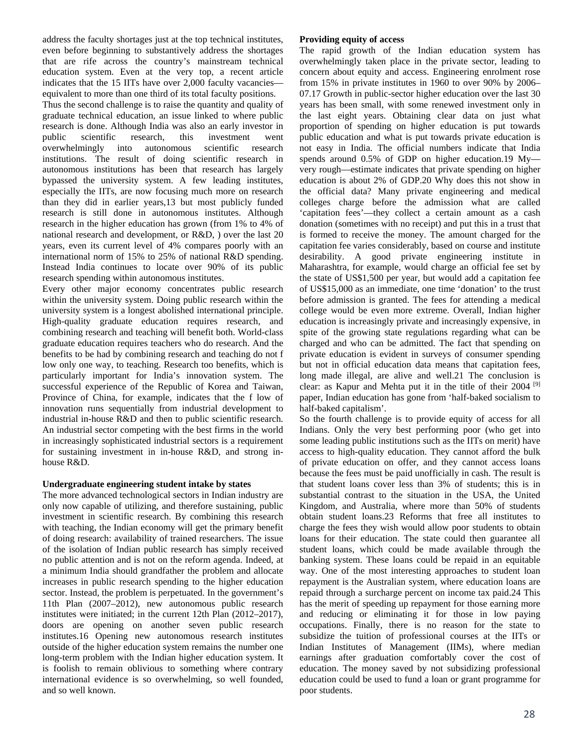address the faculty shortages just at the top technical institutes, even before beginning to substantively address the shortages that are rife across the country's mainstream technical education system. Even at the very top, a recent article indicates that the 15 IITs have over 2,000 faculty vacancies equivalent to more than one third of its total faculty positions.

Thus the second challenge is to raise the quantity and quality of graduate technical education, an issue linked to where public research is done. Although India was also an early investor in public scientific research, this investment went overwhelmingly into autonomous scientific research institutions. The result of doing scientific research in autonomous institutions has been that research has largely bypassed the university system. A few leading institutes, especially the IITs, are now focusing much more on research than they did in earlier years,13 but most publicly funded research is still done in autonomous institutes. Although research in the higher education has grown (from 1% to 4% of national research and development, or R&D, ) over the last 20 years, even its current level of 4% compares poorly with an international norm of 15% to 25% of national R&D spending. Instead India continues to locate over 90% of its public research spending within autonomous institutes.

Every other major economy concentrates public research within the university system. Doing public research within the university system is a longest abolished international principle. High-quality graduate education requires research, and combining research and teaching will benefit both. World-class graduate education requires teachers who do research. And the benefits to be had by combining research and teaching do not f low only one way, to teaching. Research too benefits, which is particularly important for India's innovation system. The successful experience of the Republic of Korea and Taiwan, Province of China, for example, indicates that the f low of innovation runs sequentially from industrial development to industrial in-house R&D and then to public scientific research. An industrial sector competing with the best firms in the world in increasingly sophisticated industrial sectors is a requirement for sustaining investment in in-house R&D, and strong inhouse R&D.

### **Undergraduate engineering student intake by states**

The more advanced technological sectors in Indian industry are only now capable of utilizing, and therefore sustaining, public investment in scientific research. By combining this research with teaching, the Indian economy will get the primary benefit of doing research: availability of trained researchers. The issue of the isolation of Indian public research has simply received no public attention and is not on the reform agenda. Indeed, at a minimum India should grandfather the problem and allocate increases in public research spending to the higher education sector. Instead, the problem is perpetuated. In the government's 11th Plan (2007–2012), new autonomous public research institutes were initiated; in the current 12th Plan (2012–2017), doors are opening on another seven public research institutes.16 Opening new autonomous research institutes outside of the higher education system remains the number one long-term problem with the Indian higher education system. It is foolish to remain oblivious to something where contrary international evidence is so overwhelming, so well founded, and so well known.

### **Providing equity of access**

The rapid growth of the Indian education system has overwhelmingly taken place in the private sector, leading to concern about equity and access. Engineering enrolment rose from 15% in private institutes in 1960 to over 90% by 2006– 07.17 Growth in public-sector higher education over the last 30 years has been small, with some renewed investment only in the last eight years. Obtaining clear data on just what proportion of spending on higher education is put towards public education and what is put towards private education is not easy in India. The official numbers indicate that India spends around 0.5% of GDP on higher education.19 My very rough—estimate indicates that private spending on higher education is about 2% of GDP.20 Why does this not show in the official data? Many private engineering and medical colleges charge before the admission what are called 'capitation fees'—they collect a certain amount as a cash donation (sometimes with no receipt) and put this in a trust that is formed to receive the money. The amount charged for the capitation fee varies considerably, based on course and institute desirability. A good private engineering institute in Maharashtra, for example, would charge an official fee set by the state of US\$1,500 per year, but would add a capitation fee of US\$15,000 as an immediate, one time 'donation' to the trust before admission is granted. The fees for attending a medical college would be even more extreme. Overall, Indian higher education is increasingly private and increasingly expensive, in spite of the growing state regulations regarding what can be charged and who can be admitted. The fact that spending on private education is evident in surveys of consumer spending but not in official education data means that capitation fees, long made illegal, are alive and well.21 The conclusion is clear: as Kapur and Mehta put it in the title of their 2004 [9] paper, Indian education has gone from 'half-baked socialism to half-baked capitalism'.

So the fourth challenge is to provide equity of access for all Indians. Only the very best performing poor (who get into some leading public institutions such as the IITs on merit) have access to high-quality education. They cannot afford the bulk of private education on offer, and they cannot access loans because the fees must be paid unofficially in cash. The result is that student loans cover less than 3% of students; this is in substantial contrast to the situation in the USA, the United Kingdom, and Australia, where more than 50% of students obtain student loans.23 Reforms that free all institutes to charge the fees they wish would allow poor students to obtain loans for their education. The state could then guarantee all student loans, which could be made available through the banking system. These loans could be repaid in an equitable way. One of the most interesting approaches to student loan repayment is the Australian system, where education loans are repaid through a surcharge percent on income tax paid.24 This has the merit of speeding up repayment for those earning more and reducing or eliminating it for those in low paying occupations. Finally, there is no reason for the state to subsidize the tuition of professional courses at the IITs or Indian Institutes of Management (IIMs), where median earnings after graduation comfortably cover the cost of education. The money saved by not subsidizing professional education could be used to fund a loan or grant programme for poor students.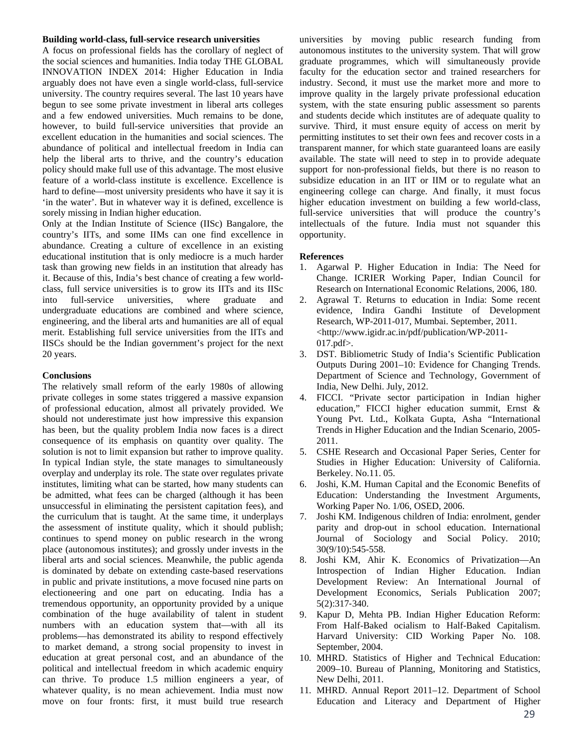#### **Building world-class, full-service research universities**

A focus on professional fields has the corollary of neglect of the social sciences and humanities. India today THE GLOBAL INNOVATION INDEX 2014: Higher Education in India arguably does not have even a single world-class, full-service university. The country requires several. The last 10 years have begun to see some private investment in liberal arts colleges and a few endowed universities. Much remains to be done, however, to build full-service universities that provide an excellent education in the humanities and social sciences. The abundance of political and intellectual freedom in India can help the liberal arts to thrive, and the country's education policy should make full use of this advantage. The most elusive feature of a world-class institute is excellence. Excellence is hard to define—most university presidents who have it say it is 'in the water'. But in whatever way it is defined, excellence is sorely missing in Indian higher education.

Only at the Indian Institute of Science (IISc) Bangalore, the country's IITs, and some IIMs can one find excellence in abundance. Creating a culture of excellence in an existing educational institution that is only mediocre is a much harder task than growing new fields in an institution that already has it. Because of this, India's best chance of creating a few worldclass, full service universities is to grow its IITs and its IISc into full-service universities, where graduate and undergraduate educations are combined and where science, engineering, and the liberal arts and humanities are all of equal merit. Establishing full service universities from the IITs and IISCs should be the Indian government's project for the next 20 years.

#### **Conclusions**

The relatively small reform of the early 1980s of allowing private colleges in some states triggered a massive expansion of professional education, almost all privately provided. We should not underestimate just how impressive this expansion has been, but the quality problem India now faces is a direct consequence of its emphasis on quantity over quality. The solution is not to limit expansion but rather to improve quality. In typical Indian style, the state manages to simultaneously overplay and underplay its role. The state over regulates private institutes, limiting what can be started, how many students can be admitted, what fees can be charged (although it has been unsuccessful in eliminating the persistent capitation fees), and the curriculum that is taught. At the same time, it underplays the assessment of institute quality, which it should publish; continues to spend money on public research in the wrong place (autonomous institutes); and grossly under invests in the liberal arts and social sciences. Meanwhile, the public agenda is dominated by debate on extending caste-based reservations in public and private institutions, a move focused nine parts on electioneering and one part on educating. India has a tremendous opportunity, an opportunity provided by a unique combination of the huge availability of talent in student numbers with an education system that—with all its problems—has demonstrated its ability to respond effectively to market demand, a strong social propensity to invest in education at great personal cost, and an abundance of the political and intellectual freedom in which academic enquiry can thrive. To produce 1.5 million engineers a year, of whatever quality, is no mean achievement. India must now move on four fronts: first, it must build true research

universities by moving public research funding from autonomous institutes to the university system. That will grow graduate programmes, which will simultaneously provide faculty for the education sector and trained researchers for industry. Second, it must use the market more and more to improve quality in the largely private professional education system, with the state ensuring public assessment so parents and students decide which institutes are of adequate quality to survive. Third, it must ensure equity of access on merit by permitting institutes to set their own fees and recover costs in a transparent manner, for which state guaranteed loans are easily available. The state will need to step in to provide adequate support for non-professional fields, but there is no reason to subsidize education in an IIT or IIM or to regulate what an engineering college can charge. And finally, it must focus higher education investment on building a few world-class, full-service universities that will produce the country's intellectuals of the future. India must not squander this opportunity.

### **References**

- 1. Agarwal P. Higher Education in India: The Need for Change. ICRIER Working Paper, Indian Council for Research on International Economic Relations, 2006, 180.
- 2. Agrawal T. Returns to education in India: Some recent evidence, Indira Gandhi Institute of Development Research, WP-2011-017, Mumbai. September, 2011. <http://www.igidr.ac.in/pdf/publication/WP-2011- 017.pdf>.
- 3. DST. Bibliometric Study of India's Scientific Publication Outputs During 2001–10: Evidence for Changing Trends. Department of Science and Technology, Government of India, New Delhi. July, 2012.
- 4. FICCI. "Private sector participation in Indian higher education," FICCI higher education summit, Ernst & Young Pvt. Ltd., Kolkata Gupta, Asha "International Trends in Higher Education and the Indian Scenario, 2005- 2011.
- 5. CSHE Research and Occasional Paper Series, Center for Studies in Higher Education: University of California. Berkeley. No.11. 05.
- 6. Joshi, K.M. Human Capital and the Economic Benefits of Education: Understanding the Investment Arguments, Working Paper No. 1/06, OSED, 2006.
- 7. Joshi KM. Indigenous children of India: enrolment, gender parity and drop-out in school education. International Journal of Sociology and Social Policy. 2010; 30(9/10):545-558.
- 8. Joshi KM, Ahir K. Economics of Privatization—An Introspection of Indian Higher Education. Indian Development Review: An International Journal of Development Economics, Serials Publication 2007; 5(2):317‐340.
- 9. Kapur D, Mehta PB. Indian Higher Education Reform: From Half-Baked ocialism to Half-Baked Capitalism. Harvard University: CID Working Paper No. 108. September, 2004.
- 10. MHRD. Statistics of Higher and Technical Education: 2009–10. Bureau of Planning, Monitoring and Statistics, New Delhi, 2011.
- 11. MHRD. Annual Report 2011–12. Department of School Education and Literacy and Department of Higher